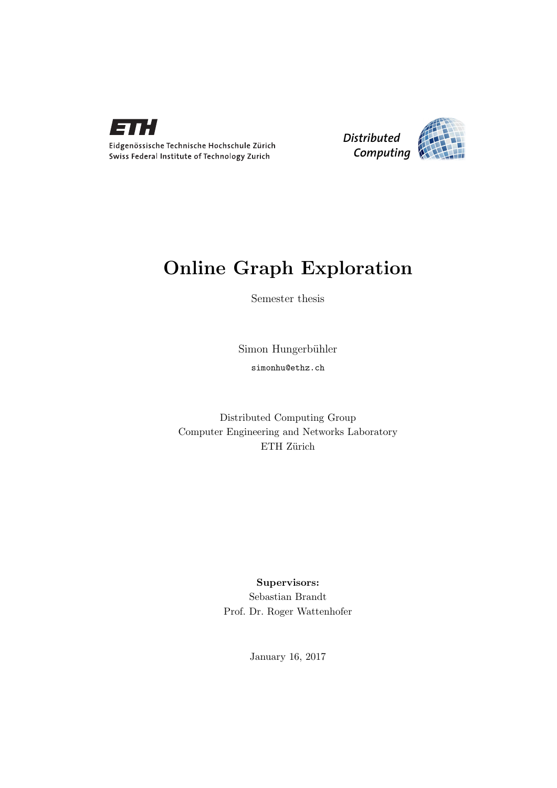



### Online Graph Exploration

Semester thesis

Simon Hungerbühler simonhu@ethz.ch

Distributed Computing Group Computer Engineering and Networks Laboratory ETH Zürich

> Supervisors: Sebastian Brandt Prof. Dr. Roger Wattenhofer

> > January 16, 2017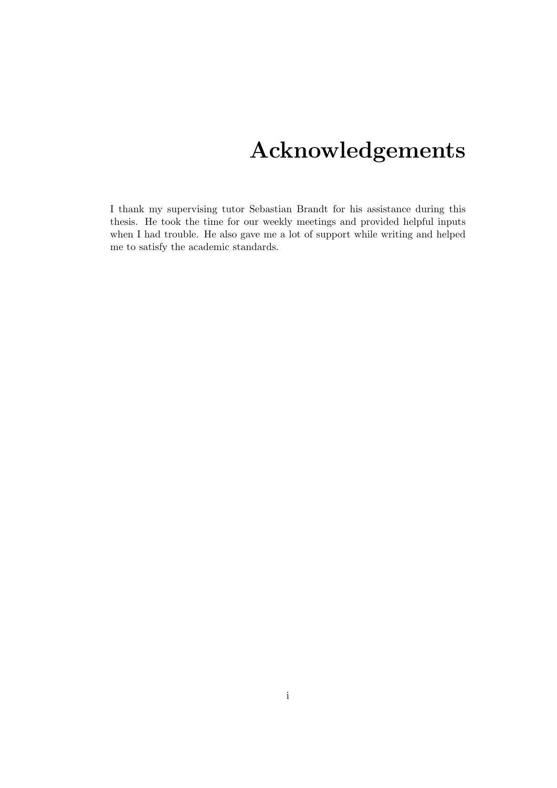## Acknowledgements

<span id="page-1-0"></span>I thank my supervising tutor Sebastian Brandt for his assistance during this thesis. He took the time for our weekly meetings and provided helpful inputs when I had trouble. He also gave me a lot of support while writing and helped me to satisfy the academic standards.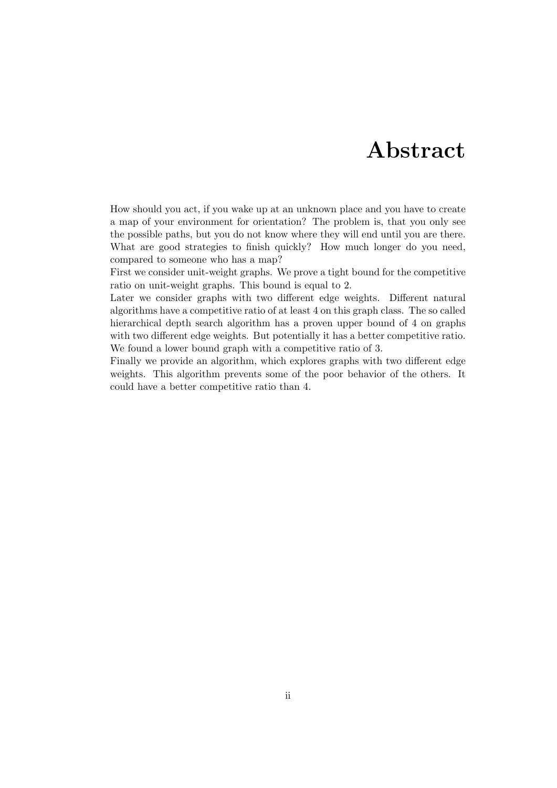### Abstract

<span id="page-2-0"></span>How should you act, if you wake up at an unknown place and you have to create a map of your environment for orientation? The problem is, that you only see the possible paths, but you do not know where they will end until you are there. What are good strategies to finish quickly? How much longer do you need, compared to someone who has a map?

First we consider unit-weight graphs. We prove a tight bound for the competitive ratio on unit-weight graphs. This bound is equal to 2.

Later we consider graphs with two different edge weights. Different natural algorithms have a competitive ratio of at least 4 on this graph class. The so called hierarchical depth search algorithm has a proven upper bound of 4 on graphs with two different edge weights. But potentially it has a better competitive ratio. We found a lower bound graph with a competitive ratio of 3.

Finally we provide an algorithm, which explores graphs with two different edge weights. This algorithm prevents some of the poor behavior of the others. It could have a better competitive ratio than 4.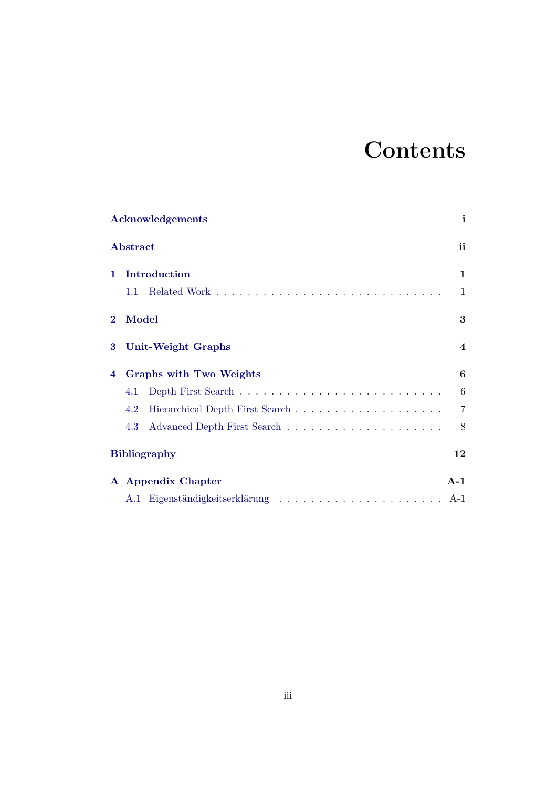## **Contents**

|              | Acknowledgements               | i                       |
|--------------|--------------------------------|-------------------------|
|              | Abstract                       | ii                      |
| 1            | Introduction                   | 1                       |
|              | 1.1                            | 1                       |
| $\bf{2}$     | Model                          | 3                       |
| 3            | <b>Unit-Weight Graphs</b>      | $\overline{\mathbf{4}}$ |
| 4            | <b>Graphs with Two Weights</b> | 6                       |
|              | 4.1                            | $6\phantom{.}6$         |
|              | 4.2                            | $\overline{7}$          |
|              | 4.3                            | 8                       |
|              | <b>Bibliography</b>            | 12                      |
| $\mathbf{A}$ | <b>Appendix Chapter</b>        | $A-1$                   |
|              |                                | $A-1$                   |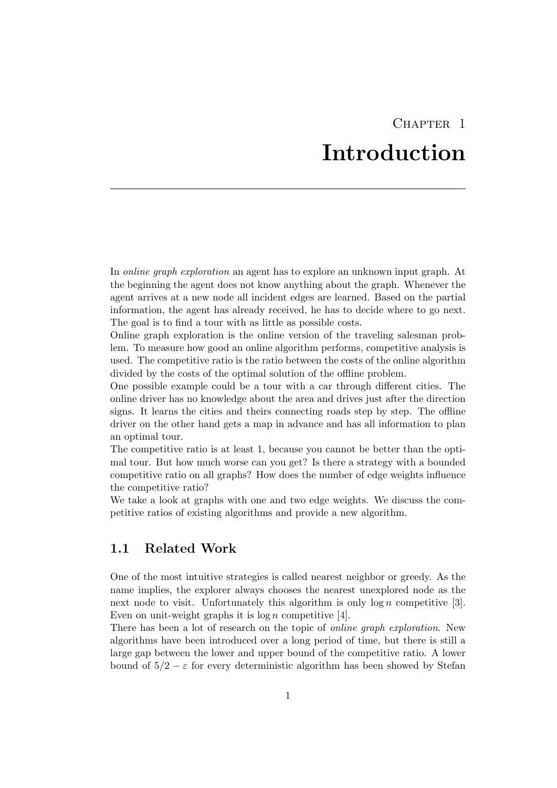### CHAPTER<sub>1</sub> Introduction

<span id="page-4-0"></span>In online graph exploration an agent has to explore an unknown input graph. At the beginning the agent does not know anything about the graph. Whenever the agent arrives at a new node all incident edges are learned. Based on the partial information, the agent has already received, he has to decide where to go next. The goal is to find a tour with as little as possible costs.

Online graph exploration is the online version of the traveling salesman problem. To measure how good an online algorithm performs, competitive analysis is used. The competitive ratio is the ratio between the costs of the online algorithm divided by the costs of the optimal solution of the offline problem.

One possible example could be a tour with a car through different cities. The online driver has no knowledge about the area and drives just after the direction signs. It learns the cities and theirs connecting roads step by step. The offline driver on the other hand gets a map in advance and has all information to plan an optimal tour.

The competitive ratio is at least 1, because you cannot be better than the optimal tour. But how much worse can you get? Is there a strategy with a bounded competitive ratio on all graphs? How does the number of edge weights influence the competitive ratio?

We take a look at graphs with one and two edge weights. We discuss the competitive ratios of existing algorithms and provide a new algorithm.

### <span id="page-4-1"></span>1.1 Related Work

One of the most intuitive strategies is called nearest neighbor or greedy. As the name implies, the explorer always chooses the nearest unexplored node as the next node to visit. Unfortunately this algorithm is only  $\log n$  competitive [\[3\]](#page-15-1). Even on unit-weight graphs it is  $\log n$  competitive [\[4\]](#page-15-2).

There has been a lot of research on the topic of *online graph exploration*. New algorithms have been introduced over a long period of time, but there is still a large gap between the lower and upper bound of the competitive ratio. A lower bound of  $5/2 - \varepsilon$  for every deterministic algorithm has been showed by Stefan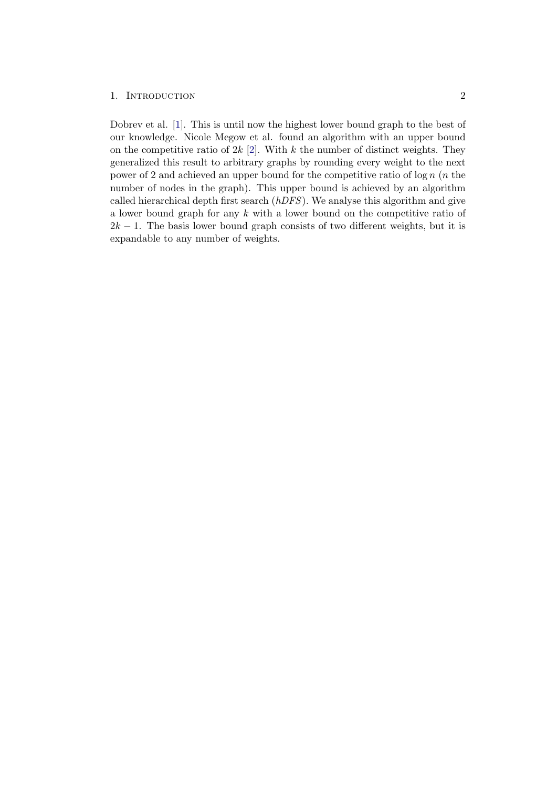#### 1. INTRODUCTION 2

Dobrev et al. [\[1\]](#page-15-3). This is until now the highest lower bound graph to the best of our knowledge. Nicole Megow et al. found an algorithm with an upper bound on the competitive ratio of  $2k$  [\[2\]](#page-15-4). With k the number of distinct weights. They generalized this result to arbitrary graphs by rounding every weight to the next power of 2 and achieved an upper bound for the competitive ratio of  $\log n$  (*n* the number of nodes in the graph). This upper bound is achieved by an algorithm called hierarchical depth first search  $(hDFS)$ . We analyse this algorithm and give a lower bound graph for any k with a lower bound on the competitive ratio of  $2k - 1$ . The basis lower bound graph consists of two different weights, but it is expandable to any number of weights.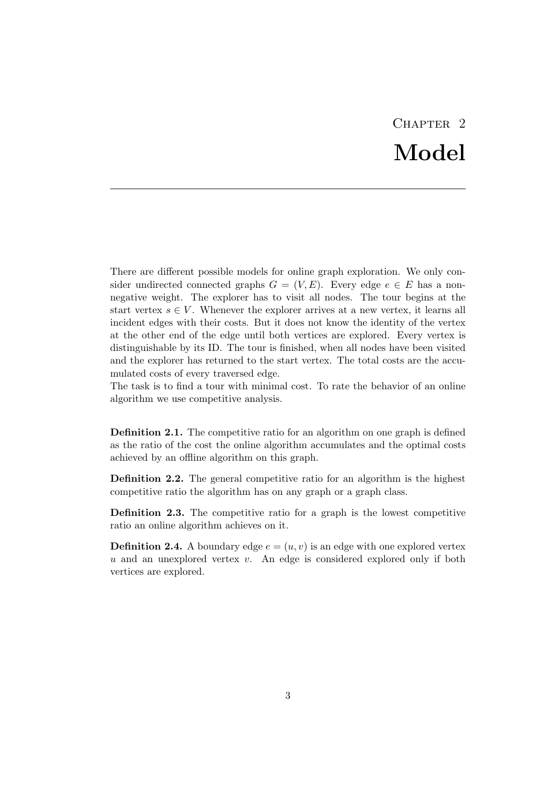## CHAPTER<sub>2</sub> Model

<span id="page-6-0"></span>There are different possible models for online graph exploration. We only consider undirected connected graphs  $G = (V, E)$ . Every edge  $e \in E$  has a nonnegative weight. The explorer has to visit all nodes. The tour begins at the start vertex  $s \in V$ . Whenever the explorer arrives at a new vertex, it learns all incident edges with their costs. But it does not know the identity of the vertex at the other end of the edge until both vertices are explored. Every vertex is distinguishable by its ID. The tour is finished, when all nodes have been visited and the explorer has returned to the start vertex. The total costs are the accumulated costs of every traversed edge.

The task is to find a tour with minimal cost. To rate the behavior of an online algorithm we use competitive analysis.

Definition 2.1. The competitive ratio for an algorithm on one graph is defined as the ratio of the cost the online algorithm accumulates and the optimal costs achieved by an offline algorithm on this graph.

Definition 2.2. The general competitive ratio for an algorithm is the highest competitive ratio the algorithm has on any graph or a graph class.

Definition 2.3. The competitive ratio for a graph is the lowest competitive ratio an online algorithm achieves on it.

**Definition 2.4.** A boundary edge  $e = (u, v)$  is an edge with one explored vertex u and an unexplored vertex  $v$ . An edge is considered explored only if both vertices are explored.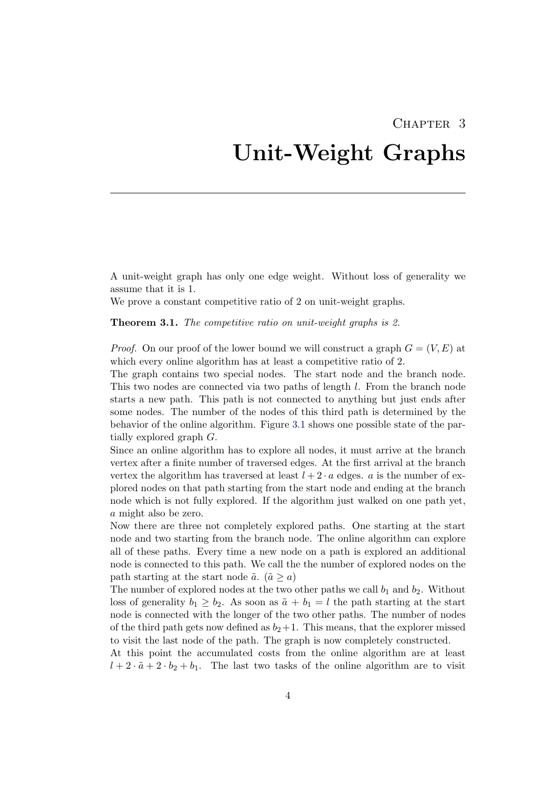## <span id="page-7-0"></span>CHAPTER 3 Unit-Weight Graphs

A unit-weight graph has only one edge weight. Without loss of generality we assume that it is 1.

We prove a constant competitive ratio of 2 on unit-weight graphs.

Theorem 3.1. The competitive ratio on unit-weight graphs is 2.

*Proof.* On our proof of the lower bound we will construct a graph  $G = (V, E)$  at which every online algorithm has at least a competitive ratio of 2.

The graph contains two special nodes. The start node and the branch node. This two nodes are connected via two paths of length l. From the branch node starts a new path. This path is not connected to anything but just ends after some nodes. The number of the nodes of this third path is determined by the behavior of the online algorithm. Figure [3.1](#page-8-0) shows one possible state of the partially explored graph G.

Since an online algorithm has to explore all nodes, it must arrive at the branch vertex after a finite number of traversed edges. At the first arrival at the branch vertex the algorithm has traversed at least  $l + 2 \cdot a$  edges. a is the number of explored nodes on that path starting from the start node and ending at the branch node which is not fully explored. If the algorithm just walked on one path yet, a might also be zero.

Now there are three not completely explored paths. One starting at the start node and two starting from the branch node. The online algorithm can explore all of these paths. Every time a new node on a path is explored an additional node is connected to this path. We call the the number of explored nodes on the path starting at the start node  $\tilde{a}$ . ( $\tilde{a} \ge a$ )

The number of explored nodes at the two other paths we call  $b_1$  and  $b_2$ . Without loss of generality  $b_1 \geq b_2$ . As soon as  $\tilde{a} + b_1 = l$  the path starting at the start node is connected with the longer of the two other paths. The number of nodes of the third path gets now defined as  $b_2+1$ . This means, that the explorer missed to visit the last node of the path. The graph is now completely constructed.

At this point the accumulated costs from the online algorithm are at least  $l + 2 \cdot \tilde{a} + 2 \cdot b_2 + b_1$ . The last two tasks of the online algorithm are to visit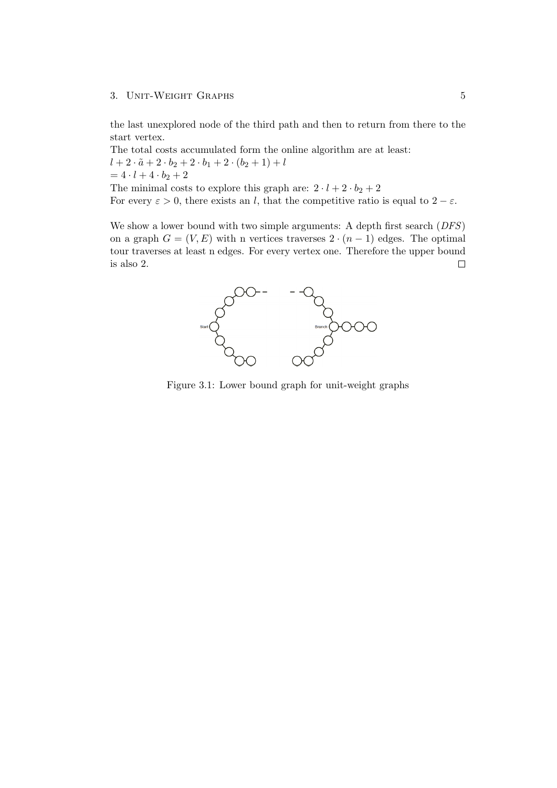#### 3. UNIT-WEIGHT GRAPHS 5

the last unexplored node of the third path and then to return from there to the start vertex.

The total costs accumulated form the online algorithm are at least:  $l + 2 \cdot \tilde{a} + 2 \cdot b_2 + 2 \cdot b_1 + 2 \cdot (b_2 + 1) + l$  $= 4 \cdot l + 4 \cdot b_2 + 2$ The minimal costs to explore this graph are:  $2 \cdot l + 2 \cdot b_2 + 2$ 

For every  $\varepsilon > 0$ , there exists an l, that the competitive ratio is equal to  $2 - \varepsilon$ .

We show a lower bound with two simple arguments: A depth first search (*DFS*) on a graph  $G = (V, E)$  with n vertices traverses  $2 \cdot (n-1)$  edges. The optimal tour traverses at least n edges. For every vertex one. Therefore the upper bound is also 2.  $\Box$ 



<span id="page-8-0"></span>Figure 3.1: Lower bound graph for unit-weight graphs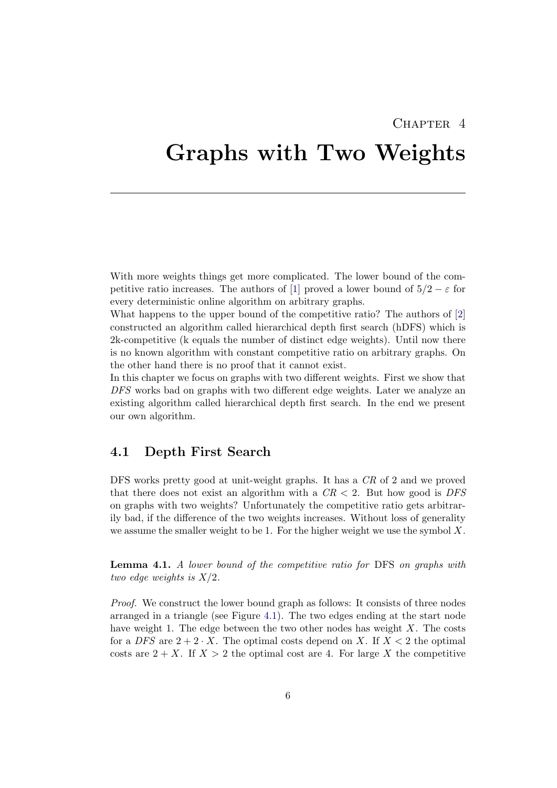### CHAPTER<sub>4</sub>

# <span id="page-9-0"></span>Graphs with Two Weights

With more weights things get more complicated. The lower bound of the com-petitive ratio increases. The authors of [\[1\]](#page-15-3) proved a lower bound of  $5/2 - \varepsilon$  for every deterministic online algorithm on arbitrary graphs.

What happens to the upper bound of the competitive ratio? The authors of [\[2\]](#page-15-4) constructed an algorithm called hierarchical depth first search (hDFS) which is 2k-competitive (k equals the number of distinct edge weights). Until now there is no known algorithm with constant competitive ratio on arbitrary graphs. On the other hand there is no proof that it cannot exist.

In this chapter we focus on graphs with two different weights. First we show that DFS works bad on graphs with two different edge weights. Later we analyze an existing algorithm called hierarchical depth first search. In the end we present our own algorithm.

### <span id="page-9-1"></span>4.1 Depth First Search

DFS works pretty good at unit-weight graphs. It has a CR of 2 and we proved that there does not exist an algorithm with a  $CR < 2$ . But how good is DFS on graphs with two weights? Unfortunately the competitive ratio gets arbitrarily bad, if the difference of the two weights increases. Without loss of generality we assume the smaller weight to be 1. For the higher weight we use the symbol  $X$ .

Lemma 4.1. A lower bound of the competitive ratio for DFS on graphs with two edge weights is  $X/2$ .

Proof. We construct the lower bound graph as follows: It consists of three nodes arranged in a triangle (see Figure [4.1\)](#page-10-1). The two edges ending at the start node have weight 1. The edge between the two other nodes has weight  $X$ . The costs for a DFS are  $2+2 \cdot X$ . The optimal costs depend on X. If  $X < 2$  the optimal costs are  $2 + X$ . If  $X > 2$  the optimal cost are 4. For large X the competitive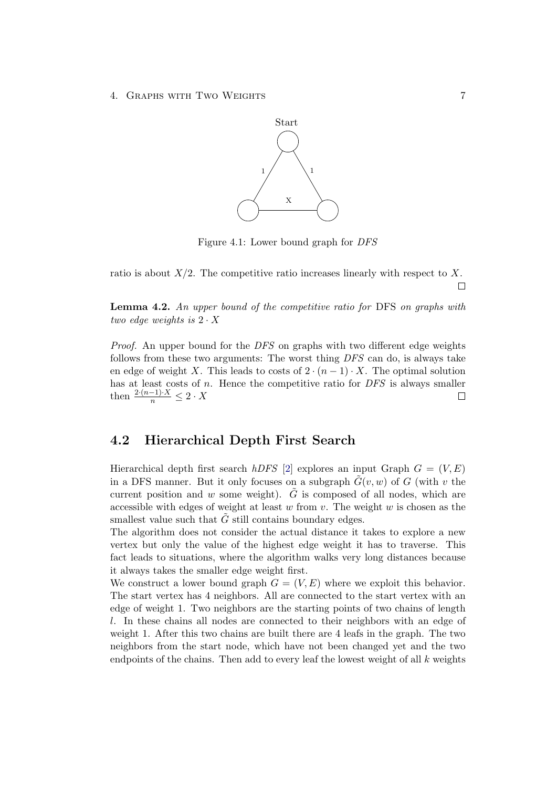

<span id="page-10-1"></span>Figure 4.1: Lower bound graph for DFS

ratio is about  $X/2$ . The competitive ratio increases linearly with respect to X.  $\Box$ 

Lemma 4.2. An upper bound of the competitive ratio for DFS on graphs with two edge weights is  $2 \cdot X$ 

Proof. An upper bound for the DFS on graphs with two different edge weights follows from these two arguments: The worst thing DFS can do, is always take en edge of weight X. This leads to costs of  $2 \cdot (n-1) \cdot X$ . The optimal solution has at least costs of  $n$ . Hence the competitive ratio for  $DFS$  is always smaller then  $\frac{2 \cdot (n-1) \cdot X}{n} \leq 2 \cdot X$  $\Box$ 

### <span id="page-10-0"></span>4.2 Hierarchical Depth First Search

Hierarchical depth first search hDFS [\[2\]](#page-15-4) explores an input Graph  $G = (V, E)$ in a DFS manner. But it only focuses on a subgraph  $\tilde{G}(v, w)$  of G (with v the current position and w some weight).  $\tilde{G}$  is composed of all nodes, which are accessible with edges of weight at least  $w$  from  $v$ . The weight  $w$  is chosen as the smallest value such that  $\tilde{G}$  still contains boundary edges.

The algorithm does not consider the actual distance it takes to explore a new vertex but only the value of the highest edge weight it has to traverse. This fact leads to situations, where the algorithm walks very long distances because it always takes the smaller edge weight first.

We construct a lower bound graph  $G = (V, E)$  where we exploit this behavior. The start vertex has 4 neighbors. All are connected to the start vertex with an edge of weight 1. Two neighbors are the starting points of two chains of length l. In these chains all nodes are connected to their neighbors with an edge of weight 1. After this two chains are built there are 4 leafs in the graph. The two neighbors from the start node, which have not been changed yet and the two endpoints of the chains. Then add to every leaf the lowest weight of all  $k$  weights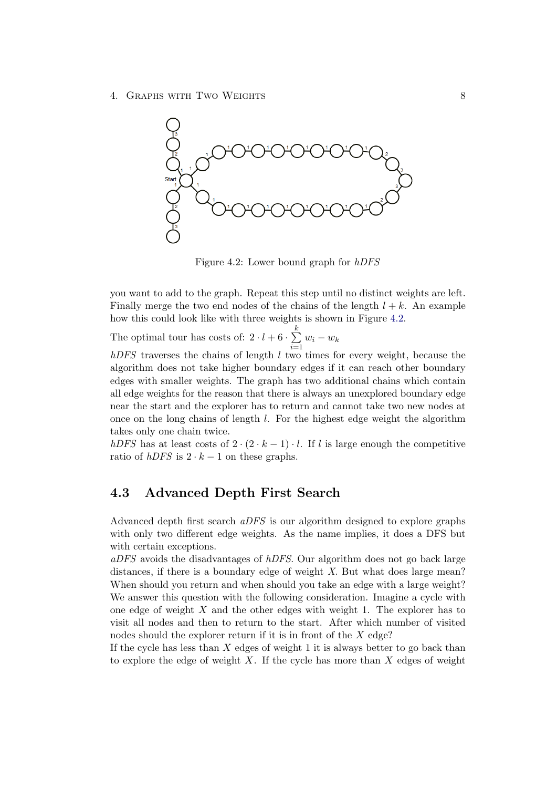4. Graphs with Two Weights 8



<span id="page-11-1"></span>Figure 4.2: Lower bound graph for hDFS

you want to add to the graph. Repeat this step until no distinct weights are left. Finally merge the two end nodes of the chains of the length  $l + k$ . An example how this could look like with three weights is shown in Figure [4.2.](#page-11-1)

The optimal tour has costs of:  $2 \cdot l + 6 \cdot \sum_{i=1}^{k}$  $i=1$  $w_i - w_k$ 

 $hDFS$  traverses the chains of length  $l$  two times for every weight, because the algorithm does not take higher boundary edges if it can reach other boundary edges with smaller weights. The graph has two additional chains which contain all edge weights for the reason that there is always an unexplored boundary edge near the start and the explorer has to return and cannot take two new nodes at once on the long chains of length  $l$ . For the highest edge weight the algorithm takes only one chain twice.

hDFS has at least costs of  $2 \cdot (2 \cdot k - 1) \cdot l$ . If l is large enough the competitive ratio of  $hDFS$  is  $2 \cdot k - 1$  on these graphs.

### <span id="page-11-0"></span>4.3 Advanced Depth First Search

Advanced depth first search aDFS is our algorithm designed to explore graphs with only two different edge weights. As the name implies, it does a DFS but with certain exceptions.

aDFS avoids the disadvantages of hDFS. Our algorithm does not go back large distances, if there is a boundary edge of weight X. But what does large mean? When should you return and when should you take an edge with a large weight? We answer this question with the following consideration. Imagine a cycle with one edge of weight  $X$  and the other edges with weight 1. The explorer has to visit all nodes and then to return to the start. After which number of visited nodes should the explorer return if it is in front of the X edge?

If the cycle has less than  $X$  edges of weight 1 it is always better to go back than to explore the edge of weight  $X$ . If the cycle has more than  $X$  edges of weight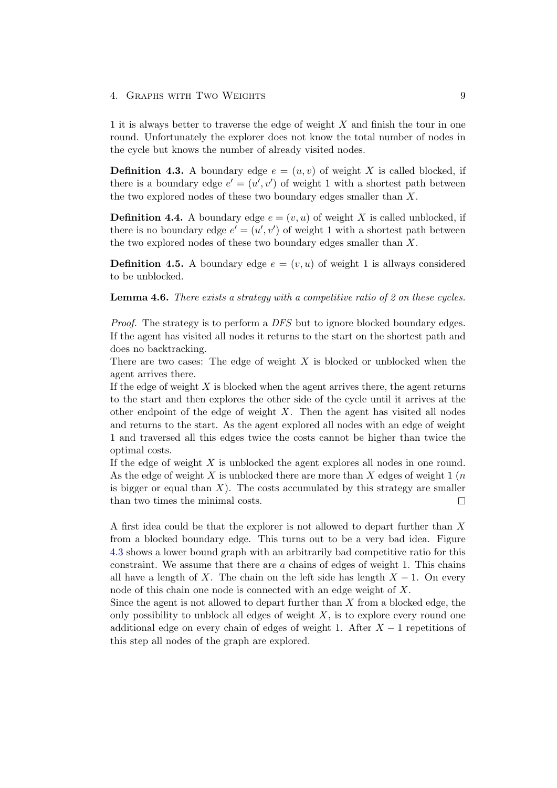#### 4. Graphs with Two Weights 9

1 it is always better to traverse the edge of weight  $X$  and finish the tour in one round. Unfortunately the explorer does not know the total number of nodes in the cycle but knows the number of already visited nodes.

**Definition 4.3.** A boundary edge  $e = (u, v)$  of weight X is called blocked, if there is a boundary edge  $e' = (u', v')$  of weight 1 with a shortest path between the two explored nodes of these two boundary edges smaller than X.

**Definition 4.4.** A boundary edge  $e = (v, u)$  of weight X is called unblocked, if there is no boundary edge  $e' = (u', v')$  of weight 1 with a shortest path between the two explored nodes of these two boundary edges smaller than X.

**Definition 4.5.** A boundary edge  $e = (v, u)$  of weight 1 is allways considered to be unblocked.

Lemma 4.6. There exists a strategy with a competitive ratio of 2 on these cycles.

Proof. The strategy is to perform a DFS but to ignore blocked boundary edges. If the agent has visited all nodes it returns to the start on the shortest path and does no backtracking.

There are two cases: The edge of weight  $X$  is blocked or unblocked when the agent arrives there.

If the edge of weight  $X$  is blocked when the agent arrives there, the agent returns to the start and then explores the other side of the cycle until it arrives at the other endpoint of the edge of weight  $X$ . Then the agent has visited all nodes and returns to the start. As the agent explored all nodes with an edge of weight 1 and traversed all this edges twice the costs cannot be higher than twice the optimal costs.

If the edge of weight X is unblocked the agent explores all nodes in one round. As the edge of weight  $X$  is unblocked there are more than  $X$  edges of weight 1  $(n)$ is bigger or equal than  $X$ ). The costs accumulated by this strategy are smaller than two times the minimal costs.  $\Box$ 

A first idea could be that the explorer is not allowed to depart further than X from a blocked boundary edge. This turns out to be a very bad idea. Figure [4.3](#page-14-0) shows a lower bound graph with an arbitrarily bad competitive ratio for this constraint. We assume that there are  $a$  chains of edges of weight 1. This chains all have a length of X. The chain on the left side has length  $X - 1$ . On every node of this chain one node is connected with an edge weight of X.

Since the agent is not allowed to depart further than  $X$  from a blocked edge, the only possibility to unblock all edges of weight  $X$ , is to explore every round one additional edge on every chain of edges of weight 1. After  $X - 1$  repetitions of this step all nodes of the graph are explored.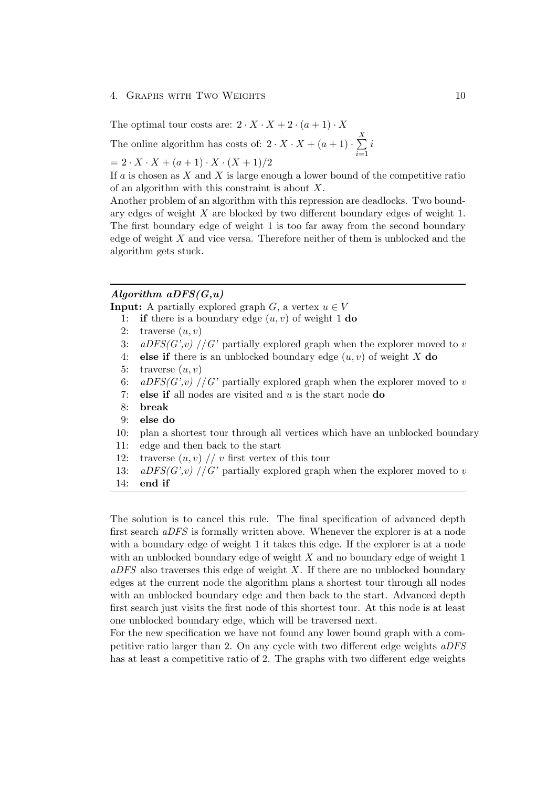#### 4. Graphs with Two Weights 10

The optimal tour costs are:  $2 \cdot X \cdot X + 2 \cdot (a+1) \cdot X$ 

The online algorithm has costs of:  $2 \cdot X \cdot X + (a+1) \cdot \sum_{n=1}^{X}$  $i=1$ i

 $= 2 \cdot X \cdot X + (a+1) \cdot X \cdot (X+1)/2$ 

If a is chosen as X and X is large enough a lower bound of the competitive ratio of an algorithm with this constraint is about X.

Another problem of an algorithm with this repression are deadlocks. Two boundary edges of weight X are blocked by two different boundary edges of weight 1. The first boundary edge of weight 1 is too far away from the second boundary edge of weight X and vice versa. Therefore neither of them is unblocked and the algorithm gets stuck.

#### Algorithm  $aDFS(G, u)$

**Input:** A partially explored graph G, a vertex  $u \in V$ 

- 1: if there is a boundary edge  $(u, v)$  of weight 1 do
- 2: traverse  $(u, v)$
- 3: aDFS(G',v) //G' partially explored graph when the explorer moved to v
- 4: else if there is an unblocked boundary edge  $(u, v)$  of weight X do
- 5: traverse  $(u, v)$
- 6:  $aDFS(G', v)$  //G' partially explored graph when the explorer moved to v
- 7: **else if** all nodes are visited and  $u$  is the start node  $\bf{do}$
- 8: break
- 9: else do
- 10: plan a shortest tour through all vertices which have an unblocked boundary
- 11: edge and then back to the start
- 12: traverse  $(u, v)$  // v first vertex of this tour

13: 
$$
aDFS(G', v) // G'
$$
 partially explored graph when the explorer moved to v

14: end if

The solution is to cancel this rule. The final specification of advanced depth first search aDFS is formally written above. Whenever the explorer is at a node with a boundary edge of weight 1 it takes this edge. If the explorer is at a node with an unblocked boundary edge of weight  $X$  and no boundary edge of weight 1  $aDFS$  also traverses this edge of weight X. If there are no unblocked boundary edges at the current node the algorithm plans a shortest tour through all nodes with an unblocked boundary edge and then back to the start. Advanced depth first search just visits the first node of this shortest tour. At this node is at least one unblocked boundary edge, which will be traversed next.

For the new specification we have not found any lower bound graph with a competitive ratio larger than 2. On any cycle with two different edge weights aDFS has at least a competitive ratio of 2. The graphs with two different edge weights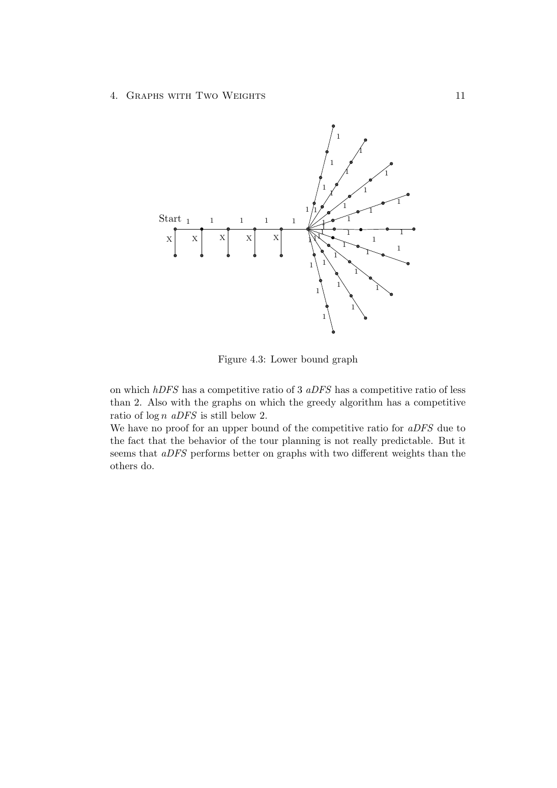4. Graphs with Two Weights 11



<span id="page-14-0"></span>Figure 4.3: Lower bound graph

on which hDFS has a competitive ratio of 3 aDFS has a competitive ratio of less than 2. Also with the graphs on which the greedy algorithm has a competitive ratio of  $\log n$  aDFS is still below 2.

We have no proof for an upper bound of the competitive ratio for aDFS due to the fact that the behavior of the tour planning is not really predictable. But it seems that aDFS performs better on graphs with two different weights than the others do.